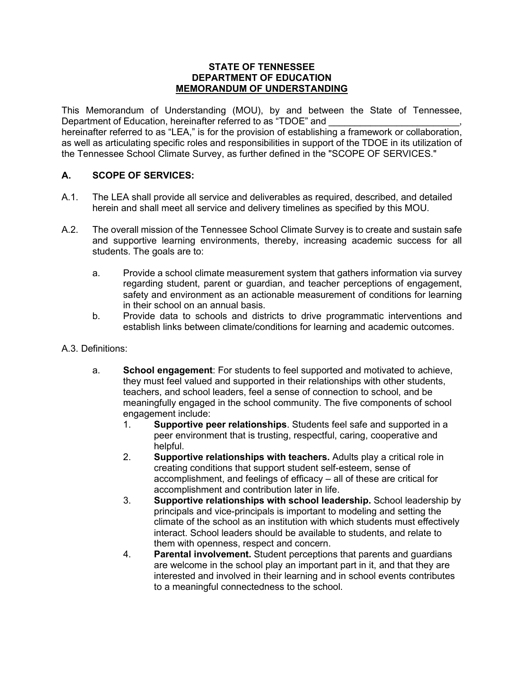This Memorandum of Understanding (MOU), by and between the State of Tennessee, Department of Education, hereinafter referred to as "TDOE" and hereinafter referred to as "LEA," is for the provision of establishing a framework or collaboration, as well as articulating specific roles and responsibilities in support of the TDOE in its utilization of the Tennessee School Climate Survey, as further defined in the "SCOPE OF SERVICES."

# **A. SCOPE OF SERVICES:**

- A.1. The LEA shall provide all service and deliverables as required, described, and detailed herein and shall meet all service and delivery timelines as specified by this MOU.
- A.2. The overall mission of the Tennessee School Climate Survey is to create and sustain safe and supportive learning environments, thereby, increasing academic success for all students. The goals are to:
	- a. Provide a school climate measurement system that gathers information via survey regarding student, parent or guardian, and teacher perceptions of engagement, safety and environment as an actionable measurement of conditions for learning in their school on an annual basis.
	- b. Provide data to schools and districts to drive programmatic interventions and establish links between climate/conditions for learning and academic outcomes.
- A.3. Definitions:
	- a. **School engagement**: For students to feel supported and motivated to achieve, they must feel valued and supported in their relationships with other students, teachers, and school leaders, feel a sense of connection to school, and be meaningfully engaged in the school community. The five components of school engagement include:
		- 1. **Supportive peer relationships**. Students feel safe and supported in a peer environment that is trusting, respectful, caring, cooperative and helpful.
		- 2. **Supportive relationships with teachers.** Adults play a critical role in creating conditions that support student self-esteem, sense of accomplishment, and feelings of efficacy – all of these are critical for accomplishment and contribution later in life.
		- 3. **Supportive relationships with school leadership.** School leadership by principals and vice-principals is important to modeling and setting the climate of the school as an institution with which students must effectively interact. School leaders should be available to students, and relate to them with openness, respect and concern.
		- 4. **Parental involvement.** Student perceptions that parents and guardians are welcome in the school play an important part in it, and that they are interested and involved in their learning and in school events contributes to a meaningful connectedness to the school.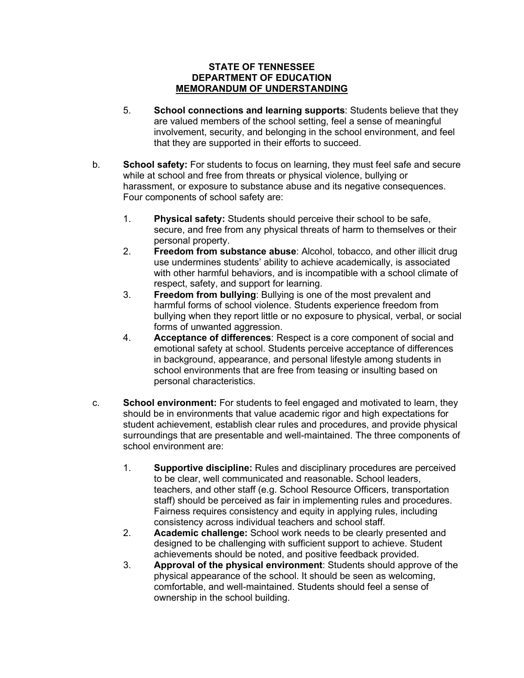- 5. **School connections and learning supports**: Students believe that they are valued members of the school setting, feel a sense of meaningful involvement, security, and belonging in the school environment, and feel that they are supported in their efforts to succeed.
- b. **School safety:** For students to focus on learning, they must feel safe and secure while at school and free from threats or physical violence, bullying or harassment, or exposure to substance abuse and its negative consequences. Four components of school safety are:
	- 1. **Physical safety:** Students should perceive their school to be safe, secure, and free from any physical threats of harm to themselves or their personal property.
	- 2. **Freedom from substance abuse**: Alcohol, tobacco, and other illicit drug use undermines students' ability to achieve academically, is associated with other harmful behaviors, and is incompatible with a school climate of respect, safety, and support for learning.
	- 3. **Freedom from bullying**: Bullying is one of the most prevalent and harmful forms of school violence. Students experience freedom from bullying when they report little or no exposure to physical, verbal, or social forms of unwanted aggression.
	- 4. **Acceptance of differences**: Respect is a core component of social and emotional safety at school. Students perceive acceptance of differences in background, appearance, and personal lifestyle among students in school environments that are free from teasing or insulting based on personal characteristics.
- c. **School environment:** For students to feel engaged and motivated to learn, they should be in environments that value academic rigor and high expectations for student achievement, establish clear rules and procedures, and provide physical surroundings that are presentable and well-maintained. The three components of school environment are:
	- 1. **Supportive discipline:** Rules and disciplinary procedures are perceived to be clear, well communicated and reasonable**.** School leaders, teachers, and other staff (e.g. School Resource Officers, transportation staff) should be perceived as fair in implementing rules and procedures. Fairness requires consistency and equity in applying rules, including consistency across individual teachers and school staff.
	- 2. **Academic challenge:** School work needs to be clearly presented and designed to be challenging with sufficient support to achieve. Student achievements should be noted, and positive feedback provided.
	- 3. **Approval of the physical environment**: Students should approve of the physical appearance of the school. It should be seen as welcoming, comfortable, and well-maintained. Students should feel a sense of ownership in the school building.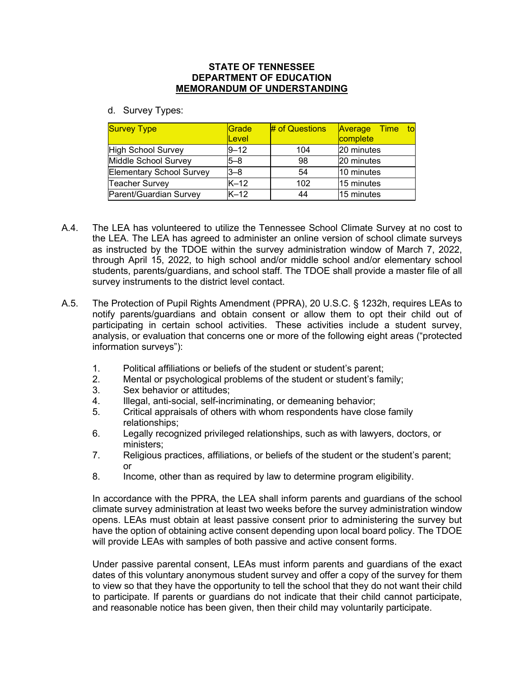### d. Survey Types:

| <b>Survey Type</b>              | Grade<br>Level | $#$ of Questions | <b>Average Time</b><br>to to<br>complete |
|---------------------------------|----------------|------------------|------------------------------------------|
| High School Survey              | $9 - 12$       | 104              | 20 minutes                               |
| Middle School Survey            | $5 - 8$        | 98               | 20 minutes                               |
| <b>Elementary School Survey</b> | $3 - 8$        | 54               | 10 minutes                               |
| <b>Teacher Survey</b>           | $K-12$         | 102              | 15 minutes                               |
| Parent/Guardian Survey          | $K-12$         | 44               | 15 minutes                               |

- A.4. The LEA has volunteered to utilize the Tennessee School Climate Survey at no cost to the LEA. The LEA has agreed to administer an online version of school climate surveys as instructed by the TDOE within the survey administration window of March 7, 2022, through April 15, 2022, to high school and/or middle school and/or elementary school students, parents/guardians, and school staff. The TDOE shall provide a master file of all survey instruments to the district level contact.
- A.5. The Protection of Pupil Rights Amendment (PPRA), 20 U.S.C. § 1232h, requires LEAs to notify parents/guardians and obtain consent or allow them to opt their child out of participating in certain school activities. These activities include a student survey, analysis, or evaluation that concerns one or more of the following eight areas ("protected information surveys"):
	- 1. Political affiliations or beliefs of the student or student's parent;
	- 2. Mental or psychological problems of the student or student's family;
	- 3. Sex behavior or attitudes;
	- 4. Illegal, anti-social, self-incriminating, or demeaning behavior;
	- 5. Critical appraisals of others with whom respondents have close family relationships;
	- 6. Legally recognized privileged relationships, such as with lawyers, doctors, or ministers;
	- 7. Religious practices, affiliations, or beliefs of the student or the student's parent; or
	- 8. Income, other than as required by law to determine program eligibility.

In accordance with the PPRA, the LEA shall inform parents and guardians of the school climate survey administration at least two weeks before the survey administration window opens. LEAs must obtain at least passive consent prior to administering the survey but have the option of obtaining active consent depending upon local board policy. The TDOE will provide LEAs with samples of both passive and active consent forms.

Under passive parental consent, LEAs must inform parents and guardians of the exact dates of this voluntary anonymous student survey and offer a copy of the survey for them to view so that they have the opportunity to tell the school that they do not want their child to participate. If parents or guardians do not indicate that their child cannot participate, and reasonable notice has been given, then their child may voluntarily participate.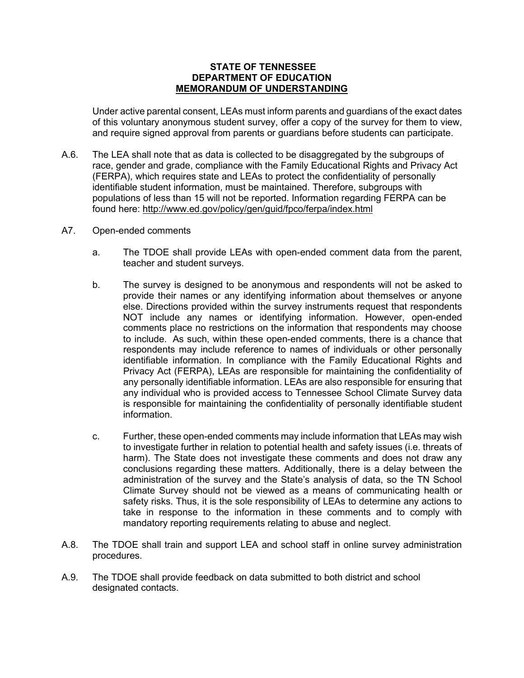Under active parental consent, LEAs must inform parents and guardians of the exact dates of this voluntary anonymous student survey, offer a copy of the survey for them to view, and require signed approval from parents or guardians before students can participate.

- A.6. The LEA shall note that as data is collected to be disaggregated by the subgroups of race, gender and grade, compliance with the Family Educational Rights and Privacy Act (FERPA), which requires state and LEAs to protect the confidentiality of personally identifiable student information, must be maintained. Therefore, subgroups with populations of less than 15 will not be reported. Information regarding FERPA can be found here:<http://www.ed.gov/policy/gen/guid/fpco/ferpa/index.html>
- A7. Open-ended comments
	- a. The TDOE shall provide LEAs with open-ended comment data from the parent, teacher and student surveys.
	- b. The survey is designed to be anonymous and respondents will not be asked to provide their names or any identifying information about themselves or anyone else. Directions provided within the survey instruments request that respondents NOT include any names or identifying information. However, open-ended comments place no restrictions on the information that respondents may choose to include. As such, within these open-ended comments, there is a chance that respondents may include reference to names of individuals or other personally identifiable information. In compliance with the Family Educational Rights and Privacy Act (FERPA), LEAs are responsible for maintaining the confidentiality of any personally identifiable information. LEAs are also responsible for ensuring that any individual who is provided access to Tennessee School Climate Survey data is responsible for maintaining the confidentiality of personally identifiable student information.
	- c. Further, these open-ended comments may include information that LEAs may wish to investigate further in relation to potential health and safety issues (i.e. threats of harm). The State does not investigate these comments and does not draw any conclusions regarding these matters. Additionally, there is a delay between the administration of the survey and the State's analysis of data, so the TN School Climate Survey should not be viewed as a means of communicating health or safety risks. Thus, it is the sole responsibility of LEAs to determine any actions to take in response to the information in these comments and to comply with mandatory reporting requirements relating to abuse and neglect.
- A.8. The TDOE shall train and support LEA and school staff in online survey administration procedures.
- A.9. The TDOE shall provide feedback on data submitted to both district and school designated contacts.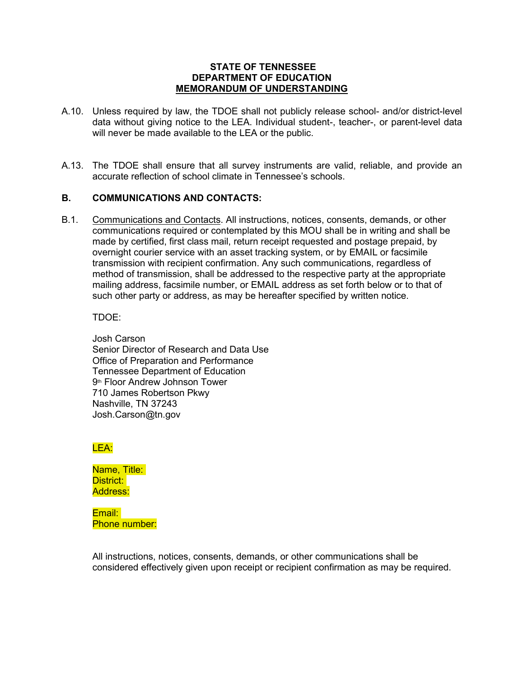- A.10. Unless required by law, the TDOE shall not publicly release school- and/or district-level data without giving notice to the LEA. Individual student-, teacher-, or parent-level data will never be made available to the LEA or the public.
- A.13. The TDOE shall ensure that all survey instruments are valid, reliable, and provide an accurate reflection of school climate in Tennessee's schools.

# **B. COMMUNICATIONS AND CONTACTS:**

B.1. Communications and Contacts. All instructions, notices, consents, demands, or other communications required or contemplated by this MOU shall be in writing and shall be made by certified, first class mail, return receipt requested and postage prepaid, by overnight courier service with an asset tracking system, or by EMAIL or facsimile transmission with recipient confirmation. Any such communications, regardless of method of transmission, shall be addressed to the respective party at the appropriate mailing address, facsimile number, or EMAIL address as set forth below or to that of such other party or address, as may be hereafter specified by written notice.

TDOE:

Josh Carson Senior Director of Research and Data Use Office of Preparation and Performance Tennessee Department of Education 9<sup>th</sup> Floor Andrew Johnson Tower 710 James Robertson Pkwy Nashville, TN 37243 Josh.Carson@tn.gov

LEA:

Name, Title: District: Address:

Email: Phone number:

All instructions, notices, consents, demands, or other communications shall be considered effectively given upon receipt or recipient confirmation as may be required.